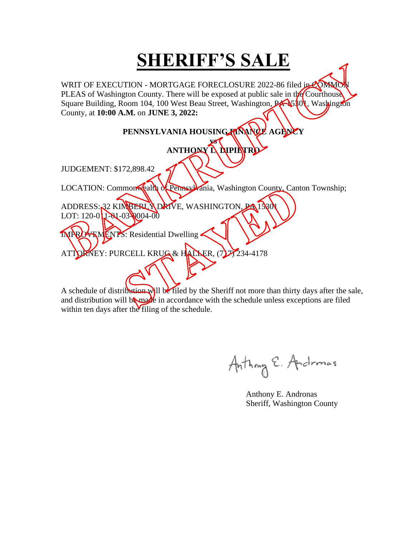WRIT OF EXECUTION - MORTGAGE FORECLOSURE 2022-86 filed in COMMO PLEAS of Washington County. There will be exposed at public sale in the Courthouse Square Building, Room 104, 100 West Beau Street, Washington, PA 5301, Washington County, at **10:00 A.M.** on **JUNE 3, 2022:** 

#### PENNSYLVANIA HOUSING FANANCE AGENCY

**vs ANTHONY L. DIPIETRO** JUDGEMENT: \$172,898.42 LOCATION: Commonwealth of Pennsylvania, Washington County, Canton Township; ADDRESS: 32 KIMBERLY DRIVE, WASHINGTON, PA 13301 LOT:  $120-0$ <sub>1</sub> $-01-03$ <sub>0</sub>004-00 MPROVEMENTS: Residential Dwelling ATTORNEY: PURCELL KRUG & HALLER, (7) 77234-4178

Anthony E. Andromas

 Anthony E. Andronas Sheriff, Washington County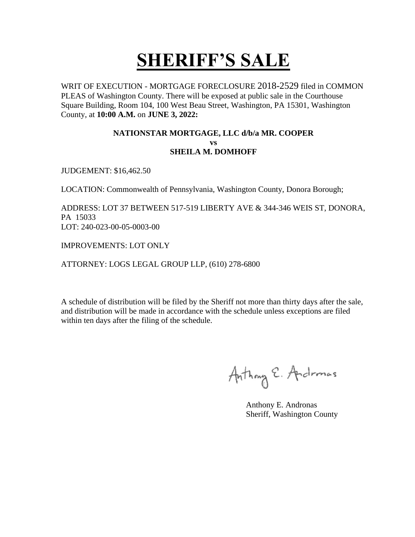WRIT OF EXECUTION - MORTGAGE FORECLOSURE 2018-2529 filed in COMMON PLEAS of Washington County. There will be exposed at public sale in the Courthouse Square Building, Room 104, 100 West Beau Street, Washington, PA 15301, Washington County, at **10:00 A.M.** on **JUNE 3, 2022:** 

#### **NATIONSTAR MORTGAGE, LLC d/b/a MR. COOPER vs SHEILA M. DOMHOFF**

JUDGEMENT: \$16,462.50

LOCATION: Commonwealth of Pennsylvania, Washington County, Donora Borough;

ADDRESS: LOT 37 BETWEEN 517-519 LIBERTY AVE & 344-346 WEIS ST, DONORA, PA 15033 LOT: 240-023-00-05-0003-00

IMPROVEMENTS: LOT ONLY

ATTORNEY: LOGS LEGAL GROUP LLP, (610) 278-6800

Anthony E. Andromas

 Anthony E. Andronas Sheriff, Washington County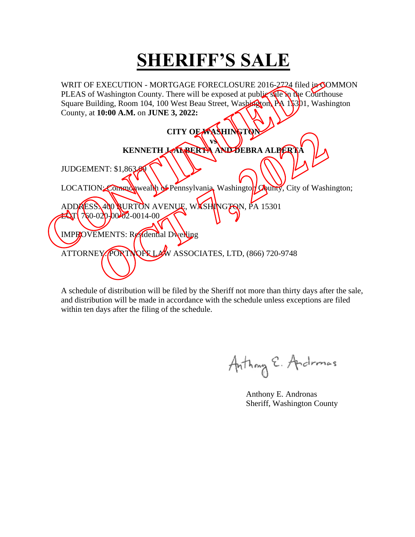WRIT OF EXECUTION - MORTGAGE FORECLOSURE 2016-2724 filed in COMMON PLEAS of Washington County. There will be exposed at public sale in the Courthouse Square Building, Room 104, 100 West Beau Street, Washington, PA 15301, Washington County, at **10:00 A.M.** on **JUNE 3, 2022:**   $\setminus$   $\setminus$  $\sim$ 

| CITY OF WASHINGTON                                                            |
|-------------------------------------------------------------------------------|
| VŚ                                                                            |
| KENNETH JANBERTA AND DEBRA ALBERTA                                            |
| JUDGEMENT: \$1,863.                                                           |
| LOCATION: Commonwealth of Pennsylvania, Washington Owner, City of Washington; |
| ADDAESS\400 \URTON AVENUE, WASHINGTON, PA 15301                               |
| $\mathbf{E}$ $\mathbf{I}$ $7$ $60 - 02$ $0 - 00$ $62 - 0014 - 00$             |
| IMPROVEMENTS: Residential Dwelling                                            |
| W ASSOCIATES, LTD, (866) 720-9748<br>ATTORNEY PORTNOFFLA                      |
|                                                                               |
|                                                                               |

Anthony E. Andromas

 Anthony E. Andronas Sheriff, Washington County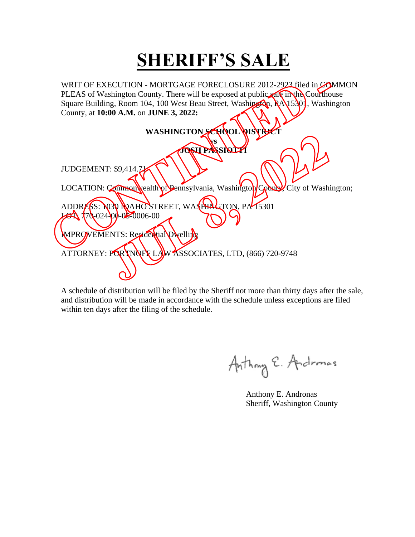WRIT OF EXECUTION - MORTGAGE FORECLOSURE 2012-2923 filed in COMMON PLEAS of Washington County. There will be exposed at public sale in the Courthouse Square Building, Room 104, 100 West Beau Street, Washington, RA 15301, Washington County, at **10:00 A.M.** on **JUNE 3, 2022:**   $\sim$  11

| WASHINGTON SCHOOL RISTRET<br>VS                                                |
|--------------------------------------------------------------------------------|
| <b>JOGH PASSIOLY</b>                                                           |
| JUDGEMENT: \$9,414.7                                                           |
| LOCATION: Common wealth of Pennsylvania, Washington County City of Washington; |
| ADDRESS: 030 MAHOSTREET, WASHENGTON, PA15301                                   |
| $70-024-00-02-0006-00$                                                         |
| MPROVEMENTS: Residential Dwelling                                              |
| ATTORNEY: PORTNOFF LAW ASSOCIATES, LTD, (866) 720-9748                         |
|                                                                                |
|                                                                                |

Anthony E. Andromas

 Anthony E. Andronas Sheriff, Washington County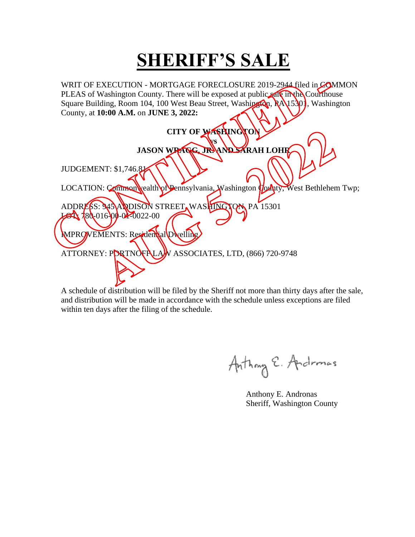WRIT OF EXECUTION - MORTGAGE FORECLOSURE 2019-2944 filed in COMMON PLEAS of Washington County. There will be exposed at public sale in the Courthouse Square Building, Room 104, 100 West Beau Street, Washington, RA 15301, Washington County, at **10:00 A.M.** on **JUNE 3, 2022:**   $\sim$  11

| CITY OF WASHINGTON<br>VS                                                                                                                                                       |
|--------------------------------------------------------------------------------------------------------------------------------------------------------------------------------|
| JASON WRAGG, JRYAND SARAH LOHR                                                                                                                                                 |
| <b>JUDGEMENT: \$1,746.84</b>                                                                                                                                                   |
| LOCATION: Common vealth of Pennsylvania, Washington County, West Bethlehem Twp;                                                                                                |
| ADDRESS: MOANDISON STREET, WASHINGTON PA 15301<br>$23130 - 016 - 04 - 0022 - 00$<br>MPROVEMENTS: Residential Dwelling<br>ATTORNEY: PORTNOFPLAN ASSOCIATES, LTD, (866) 720-9748 |
|                                                                                                                                                                                |

Anthony E. Andromas

 Anthony E. Andronas Sheriff, Washington County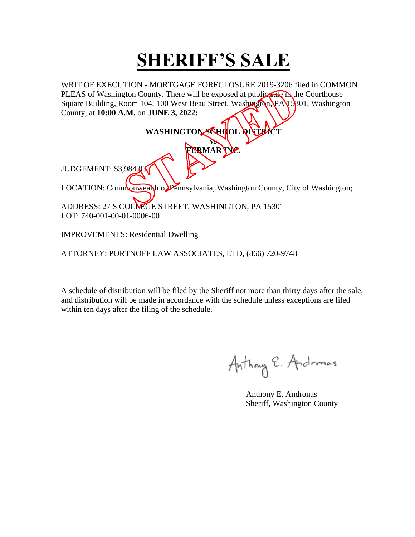WRIT OF EXECUTION - MORTGAGE FORECLOSURE 2019-3206 filed in COMMON PLEAS of Washington County. There will be exposed at public sale in the Courthouse Square Building, Room 104, 100 West Beau Street, Washington, PA 15301, Washington County, at **10:00 A.M.** on **JUNE 3, 2022:** 

#### WASHINGTON SCHOOL **DISTRICT vs FERMAR INC.** JUDGEMENT: \$3,984.03

LOCATION: Commonwealth of Pennsylvania, Washington County, City of Washington;

ADDRESS: 27 S COLLEGE STREET, WASHINGTON, PA 15301 LOT: 740-001-00-01-0006-00

IMPROVEMENTS: Residential Dwelling

ATTORNEY: PORTNOFF LAW ASSOCIATES, LTD, (866) 720-9748

Anthony E. Andromas

 Anthony E. Andronas Sheriff, Washington County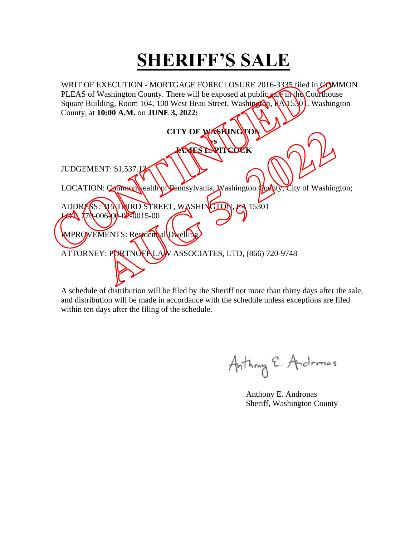WRIT OF EXECUTION - MORTGAGE FORECLOSURE 2016-3335 filed in COMMON PLEAS of Washington County. There will be exposed at public sale in the Courthouse Square Building, Room 104, 100 West Beau Street, Washington, RA 15301, Washington County, at **10:00 A.M.** on **JUNE 3, 2022:**  

|                                                                                 | CITY OF WASHINGTON    |
|---------------------------------------------------------------------------------|-----------------------|
|                                                                                 | VS                    |
|                                                                                 | <b>AMES D.PITCOCK</b> |
| JUDGEMENT: \$1,537.12                                                           |                       |
| LOCATION: Common vealth of Pennsylvania, Washington County, City of Washington; |                       |
| ADDRESS: 313 TRIRD STREET, WASHINGTON, PA 15301                                 |                       |
| $770-006-00-02-0015-00$                                                         |                       |
| MPROVEMENTS: Residential Dwelling                                               |                       |
| ATTORNEY: PORTNOFILAJN ASSOCIATES, LTD, (866) 720-9748                          |                       |
|                                                                                 |                       |
|                                                                                 |                       |

Anthony E. Andromas

 Anthony E. Andronas Sheriff, Washington County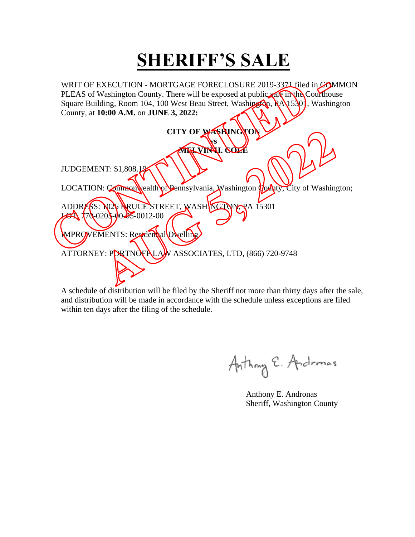WRIT OF EXECUTION - MORTGAGE FORECLOSURE 2019-3371 filed in COMMON PLEAS of Washington County. There will be exposed at public sale in the Courthouse Square Building, Room 104, 100 West Beau Street, Washington, RA 15301, Washington County, at **10:00 A.M.** on **JUNE 3, 2022:**   $\lambda$ 

| CITY OF WASHINGTON                                                              |
|---------------------------------------------------------------------------------|
| VS<br>MISLVINI, COLE                                                            |
| JUDGEMENT: \$1,808.19                                                           |
| LOCATION: Common wealth of Pennsylvania, Washington County, City of Washington; |
| ADDRESS: N <sub>26</sub> ARUCE STREET, WASHINGTON, RA 15301                     |
| $70-020$ }-00-05-0012-00                                                        |
| MPROVEMENTS: Residential Dwelling                                               |
| ATTORNEY: PORTNOFILAJN ASSOCIATES, LTD, (866) 720-9748                          |
|                                                                                 |
|                                                                                 |

Anthony E. Andromas

 Anthony E. Andronas Sheriff, Washington County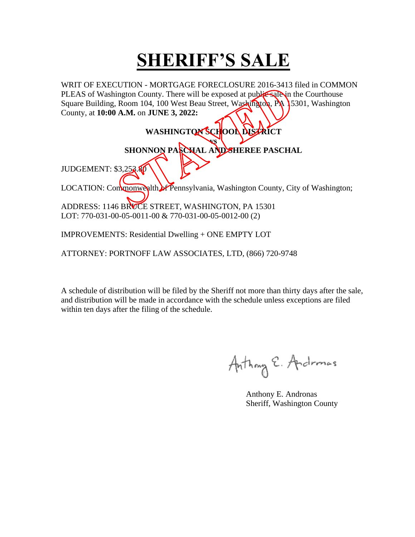WRIT OF EXECUTION - MORTGAGE FORECLOSURE 2016-3413 filed in COMMON PLEAS of Washington County. There will be exposed at public sale in the Courthouse Square Building, Room 104, 100 West Beau Street, Washington, PA 15301, Washington County, at **10:00 A.M.** on **JUNE 3, 2022:** 

> WASHINGTON SCHOOL DISTRICT **vs**

**SHONNON PASCHAL AND SHEREE PASCHAL**

**JUDGEMENT: \$3,252.80** 

LOCATION: Commonwealth of Pennsylvania, Washington County, City of Washington;

ADDRESS: 1146 BRUCE STREET, WASHINGTON, PA 15301 LOT: 770-031-00-05-0011-00 & 770-031-00-05-0012-00 (2)

IMPROVEMENTS: Residential Dwelling + ONE EMPTY LOT

ATTORNEY: PORTNOFF LAW ASSOCIATES, LTD, (866) 720-9748

Anthony E. Andromas

 Anthony E. Andronas Sheriff, Washington County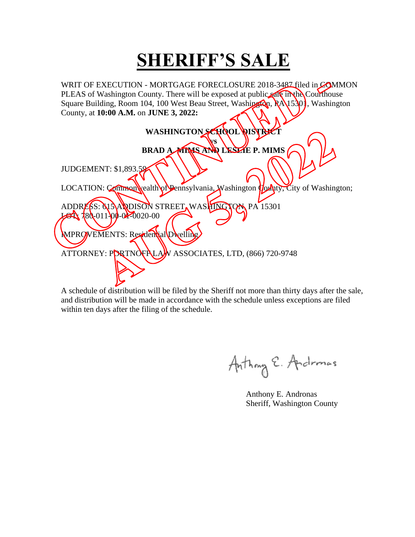WRIT OF EXECUTION - MORTGAGE FORECLOSURE 2018-3487 filed in COMMON PLEAS of Washington County. There will be exposed at public sale in the Courthouse Square Building, Room 104, 100 West Beau Street, Washington, RA 15301, Washington County, at **10:00 A.M.** on **JUNE 3, 2022:** 

| WASHINGTON SCHOOL DISTRECT                                                      |
|---------------------------------------------------------------------------------|
| VS                                                                              |
| BRAD A MINIS AND LESLIE P. MIMS                                                 |
| JUDGEMENT: \$1,893.59                                                           |
| LOCATION: Common vealth of Pennsylvania, Washington Hothty, City of Washington; |
| ADDRESS: & SANDISON STREET, WASHINGTON PA 15301<br>$780 - 011 - 00 - 020 - 00$  |
| MPROVEMENTS: Residential Dwelling                                               |
| ATTORNEY: PORTNOFPLAN ASSOCIATES, LTD, (866) 720-9748                           |
|                                                                                 |

Anthony E. Andromas

 Anthony E. Andronas Sheriff, Washington County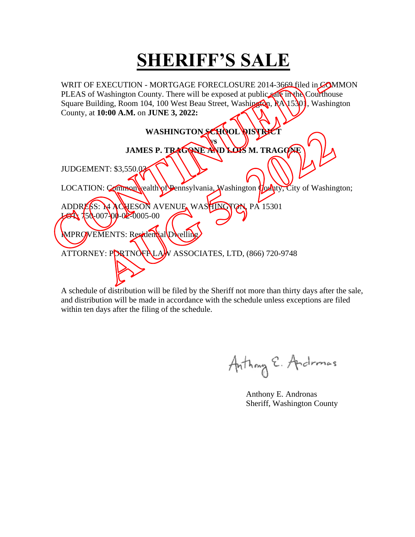WRIT OF EXECUTION - MORTGAGE FORECLOSURE 2014-3669 filed in COMMON PLEAS of Washington County. There will be exposed at public sale in the Courthouse Square Building, Room 104, 100 West Beau Street, Washington, RA 15301, Washington County, at **10:00 A.M.** on **JUNE 3, 2022:** 

| WASHINGTON SCHOOL DISTRET                                                       |
|---------------------------------------------------------------------------------|
| VS                                                                              |
| JAMES P. TRAGONE AND LOTS M. TRAGONE                                            |
| JUDGEMENT: \$3,550.02                                                           |
| LOCATION: Common wealth of Pennsylvania, Washington County, City of Washington; |
| ADDRESS: MACHESON AVENUE WASHINGTON PA 15301<br>$750-007-00-02-0005-00$         |
|                                                                                 |
| MPROVEMENTS: Residential Dwelling                                               |
| ATTORNEY: PORTNOFPLAW ASSOCIATES, LTD, (866) 720-9748                           |
|                                                                                 |
|                                                                                 |
|                                                                                 |

Anthony E. Andromas

 Anthony E. Andronas Sheriff, Washington County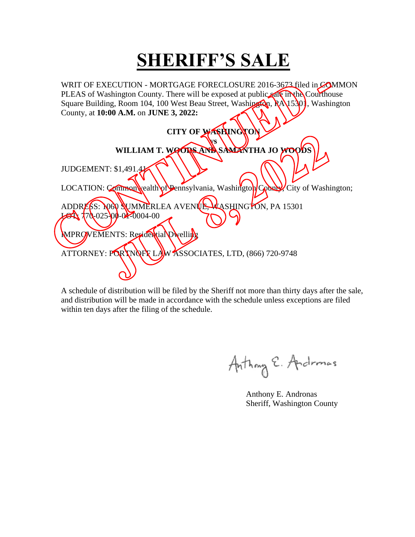WRIT OF EXECUTION - MORTGAGE FORECLOSURE 2016-3673 filed in COMMON PLEAS of Washington County. There will be exposed at public sale in the Courthouse Square Building, Room 104, 100 West Beau Street, Washington, RA 15301, Washington County, at **10:00 A.M.** on **JUNE 3, 2022:** 

| CITY OF WASHINGTON                                                             |  |
|--------------------------------------------------------------------------------|--|
| VS                                                                             |  |
| WILLIAM T. WOODS AND SAMENTHA JO WOODS                                         |  |
| JUDGEMENT: \$1,491.4                                                           |  |
| LOCATION: Common wealth of Pennsylvania, Washington County City of Washington; |  |
| ADDRESS: NOW SUMMERLEA AVENUE, VASHINGTON, PA 15301                            |  |
| $70-025-00-04-0004-00$                                                         |  |
| MPROVEMENTS: Residential Dwelling                                              |  |
| ATTORNEY: PORTNOFF LAW ASSOCIATES, LTD, (866) 720-9748                         |  |
|                                                                                |  |
|                                                                                |  |

Anthony E. Andromas

 Anthony E. Andronas Sheriff, Washington County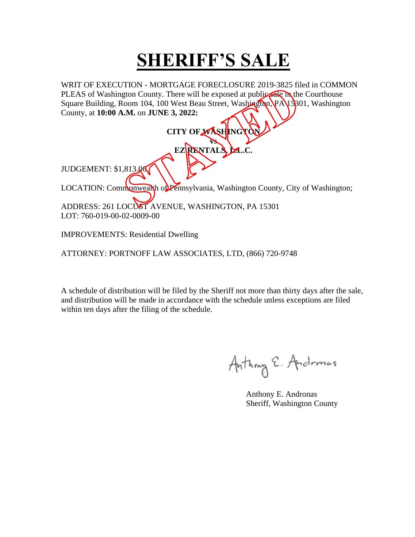WRIT OF EXECUTION - MORTGAGE FORECLOSURE 2019-3825 filed in COMMON PLEAS of Washington County. There will be exposed at public sale in the Courthouse Square Building, Room 104, 100 West Beau Street, Washington, PA 15801, Washington County, at **10:00 A.M.** on **JUNE 3, 2022:** 

**CITY OF WASHING vs EZ RENTALS, L.L.C.** JUDGEMENT: \$1,813.06 LOCATION: Commonwealth of Pennsylvania, Washington County, City of Washington; ADDRESS: 261 LOCUST AVENUE, WASHINGTON, PA 15301 LOT: 760-019-00-02-0009-00

IMPROVEMENTS: Residential Dwelling

ATTORNEY: PORTNOFF LAW ASSOCIATES, LTD, (866) 720-9748

Anthony E. Andromas

 Anthony E. Andronas Sheriff, Washington County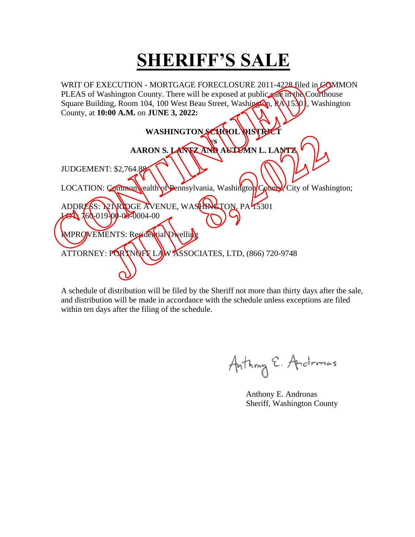WRIT OF EXECUTION - MORTGAGE FORECLOSURE 2011-4228 filed in COMMON PLEAS of Washington County. There will be exposed at public sale in the Courthouse Square Building, Room 104, 100 West Beau Street, Washington, RA 15301, Washington County, at **10:00 A.M.** on **JUNE 3, 2022:** 

| WASHINGTON SCHOOL DISTRET                                                       |
|---------------------------------------------------------------------------------|
| vs                                                                              |
| AARON S. LANKZAND AULEMN L. LANTZ                                               |
| <b>JUDGEMENT: \$2,764.88</b>                                                    |
| LOCATION: Common vealth of Pennsylvania, Washington County, City of Washington; |
| ADDRESS: <b>NIRIDGE AVENUE, WASHINGTON, PA75301</b>                             |
| $\frac{1}{160}$ 160-019-00-02-0004-00                                           |
| MPROVEMENTS: Residential Dwelling                                               |
| ATTORNEY: PORTNOFF LAW ASSOCIATES, LTD, (866) 720-9748                          |
|                                                                                 |
|                                                                                 |

Anthony E. Andromas

 Anthony E. Andronas Sheriff, Washington County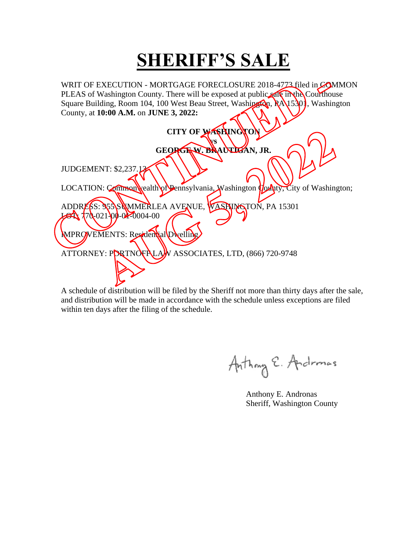WRIT OF EXECUTION - MORTGAGE FORECLOSURE 2018-4773 filed in COMMON PLEAS of Washington County. There will be exposed at public sale in the Courthouse Square Building, Room 104, 100 West Beau Street, Washington, RA 15301, Washington County, at **10:00 A.M.** on **JUNE 3, 2022:**   $\sim$  11

| LOCATION: Common vealth of Pennsylvania, Washington County, City of Washington; |
|---------------------------------------------------------------------------------|
|                                                                                 |
|                                                                                 |
|                                                                                 |
|                                                                                 |
|                                                                                 |
|                                                                                 |

Anthony E. Andromas

 Anthony E. Andronas Sheriff, Washington County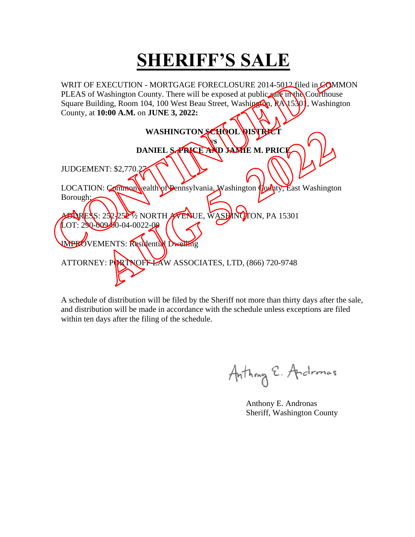WRIT OF EXECUTION - MORTGAGE FORECLOSURE 2014-5012 filed in COMMON PLEAS of Washington County. There will be exposed at public sale in the Courthouse Square Building, Room 104, 100 West Beau Street, Washington, RA 15301, Washington County, at **10:00 A.M.** on **JUNE 3, 2022:**   $\sim$  11

| WASHINGTON SCHOOL DISTRET                                                           |
|-------------------------------------------------------------------------------------|
| 7S                                                                                  |
| DANIEL SARKE AND JAME M. PRICE                                                      |
|                                                                                     |
| JUDGEMENT: \$2,770.27                                                               |
| LOCATION: Common vealth of Pennsylvania, Washington <i>Hounty</i> , East Washington |
| Borough:                                                                            |
| <b>EDRESS: 252-2527/2 NORTH AVENUE, WASHINGTON, PA 15301</b>                        |
| $LOT: 290-009-00-04-0022-00$                                                        |
| <b>IMPROVEMENTS: Residential Dwelling</b>                                           |
|                                                                                     |
| ATTORNEY: PORTNOFFLAW ASSOCIATES, LTD, (866) 720-9748                               |
|                                                                                     |
|                                                                                     |

Anthony E. Andronas

 Anthony E. Andronas Sheriff, Washington County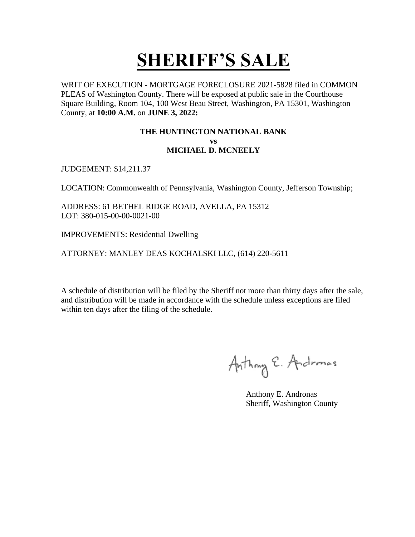WRIT OF EXECUTION - MORTGAGE FORECLOSURE 2021-5828 filed in COMMON PLEAS of Washington County. There will be exposed at public sale in the Courthouse Square Building, Room 104, 100 West Beau Street, Washington, PA 15301, Washington County, at **10:00 A.M.** on **JUNE 3, 2022:** 

#### **THE HUNTINGTON NATIONAL BANK vs MICHAEL D. MCNEELY**

JUDGEMENT: \$14,211.37

LOCATION: Commonwealth of Pennsylvania, Washington County, Jefferson Township;

ADDRESS: 61 BETHEL RIDGE ROAD, AVELLA, PA 15312 LOT: 380-015-00-00-0021-00

IMPROVEMENTS: Residential Dwelling

ATTORNEY: MANLEY DEAS KOCHALSKI LLC, (614) 220-5611

Anthony E. Andromas

 Anthony E. Andronas Sheriff, Washington County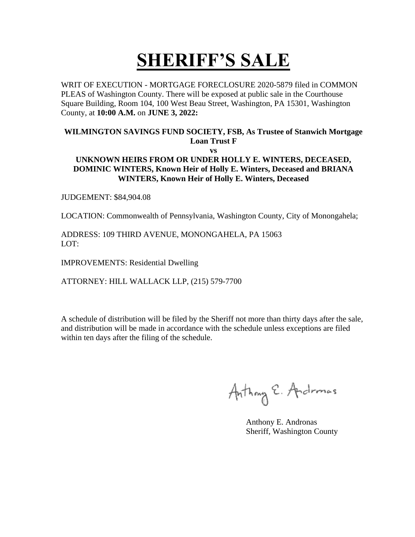WRIT OF EXECUTION - MORTGAGE FORECLOSURE 2020-5879 filed in COMMON PLEAS of Washington County. There will be exposed at public sale in the Courthouse Square Building, Room 104, 100 West Beau Street, Washington, PA 15301, Washington County, at **10:00 A.M.** on **JUNE 3, 2022:** 

#### **WILMINGTON SAVINGS FUND SOCIETY, FSB, As Trustee of Stanwich Mortgage Loan Trust F**

**vs**

#### **UNKNOWN HEIRS FROM OR UNDER HOLLY E. WINTERS, DECEASED, DOMINIC WINTERS, Known Heir of Holly E. Winters, Deceased and BRIANA WINTERS, Known Heir of Holly E. Winters, Deceased**

JUDGEMENT: \$84,904.08

LOCATION: Commonwealth of Pennsylvania, Washington County, City of Monongahela;

ADDRESS: 109 THIRD AVENUE, MONONGAHELA, PA 15063 LOT:

IMPROVEMENTS: Residential Dwelling

ATTORNEY: HILL WALLACK LLP, (215) 579-7700

Anthony E. Andromas

 Anthony E. Andronas Sheriff, Washington County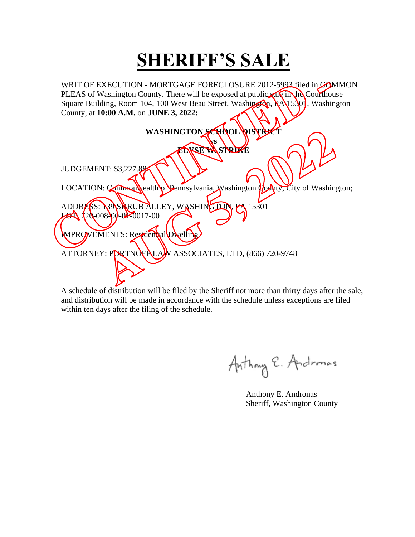WRIT OF EXECUTION - MORTGAGE FORECLOSURE 2012-5993 filed in COMMON PLEAS of Washington County. There will be exposed at public sale in the Courthouse Square Building, Room 104, 100 West Beau Street, Washington, RA 15301, Washington County, at **10:00 A.M.** on **JUNE 3, 2022:**   $\sim$  11

| WASHINGTON SCHOOL DISTRECT                                                      |
|---------------------------------------------------------------------------------|
| VS<br><b>EDNSE WASTRIKE</b>                                                     |
| JUDGEMENT: \$3,227.88                                                           |
| LOCATION: Common wealth of Pennsylvania, Washington County, City of Washington; |
| ADDRESS: N9 SARUB ALLEY, WASHINGTON, PA 15301                                   |
| $20-008-00-02-0017-00$                                                          |
| MPROVEMENTS: Residential Dwelling                                               |
| ATTORNEY: PORTNOFPLAN ASSOCIATES, LTD, (866) 720-9748                           |
|                                                                                 |
|                                                                                 |

Anthony E. Andromas

 Anthony E. Andronas Sheriff, Washington County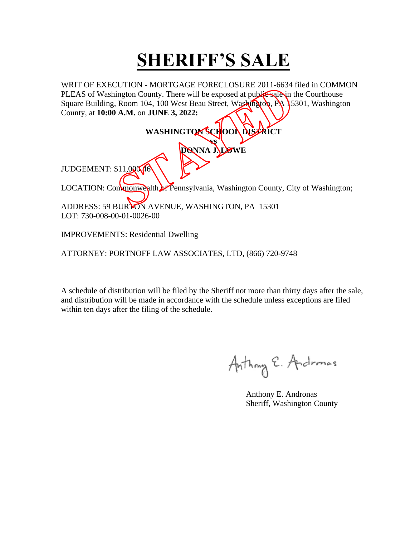WRIT OF EXECUTION - MORTGAGE FORECLOSURE 2011-6634 filed in COMMON PLEAS of Washington County. There will be exposed at public sale in the Courthouse Square Building, Room 104, 100 West Beau Street, Washington, PA 15301, Washington County, at **10:00 A.M.** on **JUNE 3, 2022:** 

| WASHINGTON SCHOOL DISTRICT                                                    |
|-------------------------------------------------------------------------------|
| <b>DONNA JALSWE</b>                                                           |
| JUDGEMENT: \$11,000 46                                                        |
| LOCATION: Convincing the Pennsylvania, Washington County, City of Washington; |
| ADDRESS: 59 BURYON AVENUE, WASHINGTON, PA 15301<br>LOT: 730-008-00-01-0026-00 |

IMPROVEMENTS: Residential Dwelling

ATTORNEY: PORTNOFF LAW ASSOCIATES, LTD, (866) 720-9748

Anthony E. Andromas

 Anthony E. Andronas Sheriff, Washington County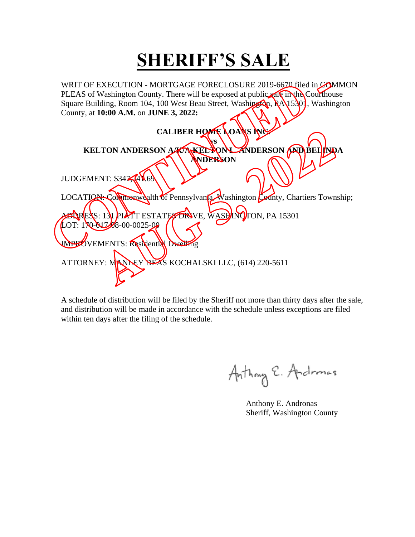WRIT OF EXECUTION - MORTGAGE FORECLOSURE 2019-6670 filed in COMMON PLEAS of Washington County. There will be exposed at public sale in the Courthouse Square Building, Room 104, 100 West Beau Street, Washington, RA 15301, Washington County, at **10:00 A.M.** on **JUNE 3, 2022:** 

| CALIBER HOME LOANS INC                                                                    |
|-------------------------------------------------------------------------------------------|
| KELTON ANDERSON A KAKEL YONU ZNDERSON AND BELINDA<br><b>ANDERSON</b>                      |
| JUDGEMENT: \$347,41.69                                                                    |
| LOCATION: Commonwealth of Pennsylvania Washington County, Chartiers Township;             |
| <b>ELRESS: 131 PIATT ESTATES DRIVE, WASHINGTON, PA 15301</b><br>LOT: 170-01748-00-0025-00 |
| <b>OVEMENTS: Residential Dwelling</b>                                                     |
| ATTORNEY: MANDEY DEAS KOCHALSKI LLC, (614) 220-5611                                       |

Anthony E. Andronas

 Anthony E. Andronas Sheriff, Washington County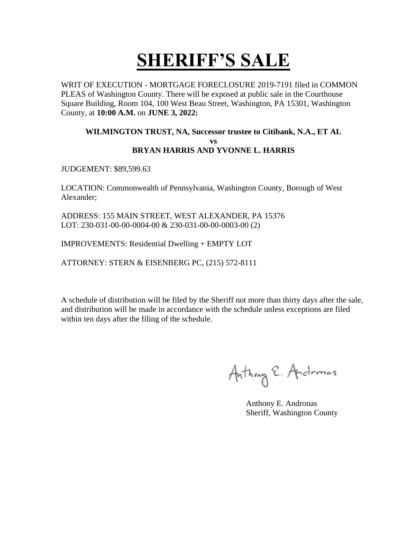WRIT OF EXECUTION - MORTGAGE FORECLOSURE 2019-7191 filed in COMMON PLEAS of Washington County. There will be exposed at public sale in the Courthouse Square Building, Room 104, 100 West Beau Street, Washington, PA 15301, Washington County, at **10:00 A.M.** on **JUNE 3, 2022:** 

#### **WILMINGTON TRUST, NA, Successor trustee to Citibank, N.A., ET AL vs BRYAN HARRIS AND YVONNE L. HARRIS**

JUDGEMENT: \$89,599.63

LOCATION: Commonwealth of Pennsylvania, Washington County, Borough of West Alexander;

ADDRESS: 155 MAIN STREET, WEST ALEXANDER, PA 15376 LOT: 230-031-00-00-0004-00 & 230-031-00-00-0003-00 (2)

IMPROVEMENTS: Residential Dwelling + EMPTY LOT

ATTORNEY: STERN & EISENBERG PC, (215) 572-8111

Anthony E. Andromas

 Anthony E. Andronas Sheriff, Washington County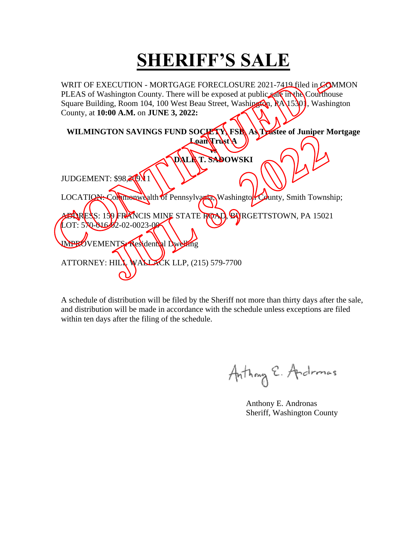WRIT OF EXECUTION - MORTGAGE FORECLOSURE 2021-7419 filed in COMMON PLEAS of Washington County. There will be exposed at public sale in the Courthouse Square Building, Room 104, 100 West Beau Street, Washington, RA 15301, Washington County, at **10:00 A.M.** on **JUNE 3, 2022:**   $\sqrt{2}$ 

| WILMINGTON SAVINGS FUND SOCIETY FSK AS Trastee of Juniper Mortgage         |
|----------------------------------------------------------------------------|
| LoanVrustA                                                                 |
|                                                                            |
|                                                                            |
| DALAT. SADOWSKI                                                            |
|                                                                            |
| JUDGEMENT: \$98,200 1                                                      |
|                                                                            |
|                                                                            |
| LOCATION: Commonwealth of Pennsylvaria, Washington County, Smith Township; |
|                                                                            |
| <b>EARESS: 159 FRANCIS MINE STATE ROAD, BURGETTSTOWN, PA 15021</b>         |
|                                                                            |
| $LOT: 570 - 01622 - 02 - 0023 - 00$                                        |
|                                                                            |
| WPROVEMENTS Residential Dwelling                                           |
|                                                                            |
|                                                                            |
| ATTORNEY: HILL WALLACK LLP, $(215)$ 579-7700                               |
|                                                                            |
|                                                                            |
|                                                                            |

Anthony E. Andronas

 Anthony E. Andronas Sheriff, Washington County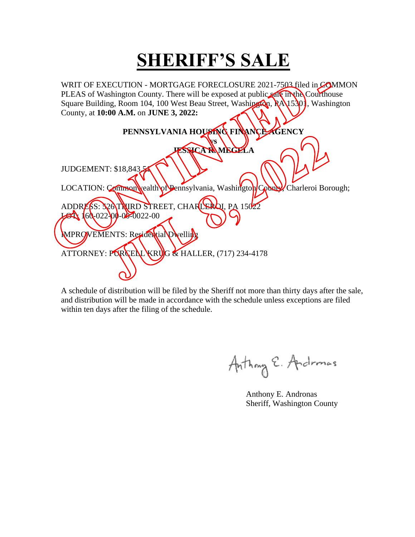WRIT OF EXECUTION - MORTGAGE FORECLOSURE 2021-7503 filed in COMMON PLEAS of Washington County. There will be exposed at public sale in the Courthouse Square Building, Room 104, 100 West Beau Street, Washington, RA 15301, Washington County, at **10:00 A.M.** on **JUNE 3, 2022:**   $\mathcal{N}$  .

| PENNSYLVANIA HOUSING FINANCE AGENCY                                           |  |
|-------------------------------------------------------------------------------|--|
| VS                                                                            |  |
| <b>LESSICA RAMEGELA</b>                                                       |  |
| JUDGEMENT: \$18,843                                                           |  |
| LOCATION: Common vealth of Dennsylvania, Washington County Charleroi Borough; |  |
| ADDRESS: S20TNIRD STREET, CHARLEROI, PA 15022                                 |  |
| $160-022-00-00-0022-00$                                                       |  |
| MPROVEMENTS: Residential Dwelling                                             |  |
| ATTORNEY: PORCELL KRUG & HALLER, (717) 234-4178                               |  |
|                                                                               |  |
|                                                                               |  |

Anthony E. Andromas

 Anthony E. Andronas Sheriff, Washington County